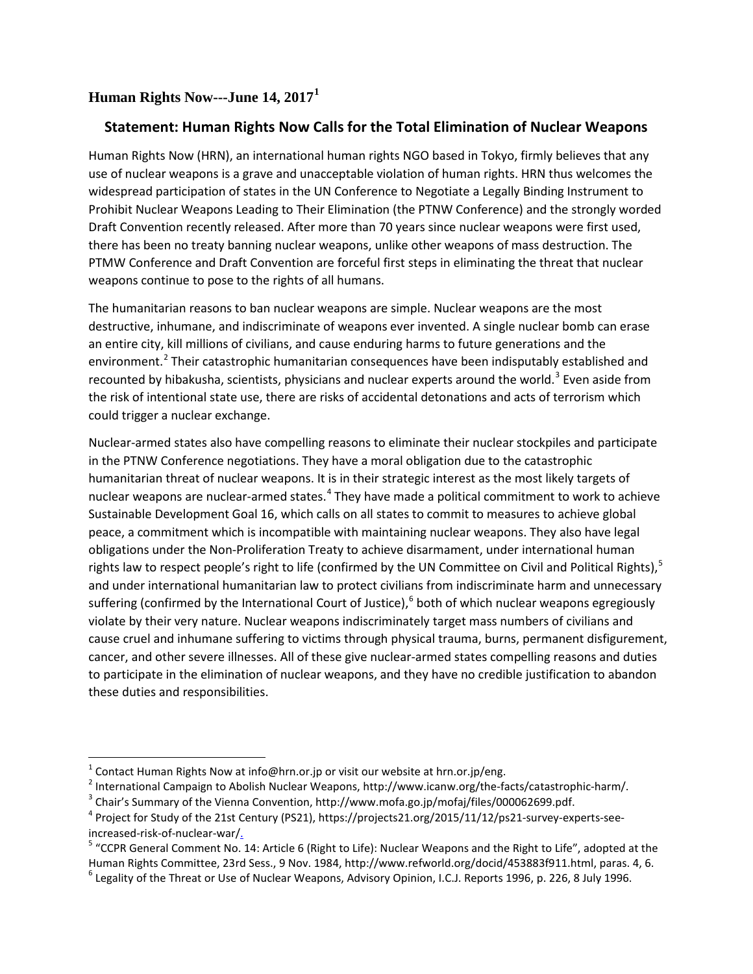## **Human Rights Now---June 14, 2017[1](#page-0-0)**

## **Statement: Human Rights Now Calls for the Total Elimination of Nuclear Weapons**

Human Rights Now (HRN), an international human rights NGO based in Tokyo, firmly believes that any use of nuclear weapons is a grave and unacceptable violation of human rights. HRN thus welcomes the widespread participation of states in the UN Conference to Negotiate a Legally Binding Instrument to Prohibit Nuclear Weapons Leading to Their Elimination (the PTNW Conference) and the strongly worded Draft Convention recently released. After more than 70 years since nuclear weapons were first used, there has been no treaty banning nuclear weapons, unlike other weapons of mass destruction. The PTMW Conference and Draft Convention are forceful first steps in eliminating the threat that nuclear weapons continue to pose to the rights of all humans.

The humanitarian reasons to ban nuclear weapons are simple. Nuclear weapons are the most destructive, inhumane, and indiscriminate of weapons ever invented. A single nuclear bomb can erase an entire city, kill millions of civilians, and cause enduring harms to future generations and the environment.<sup>[2](#page-0-1)</sup> Their catastrophic humanitarian consequences have been indisputably established and recounted by hibakusha, scientists, physicians and nuclear experts around the world.<sup>[3](#page-0-2)</sup> Even aside from the risk of intentional state use, there are risks of accidental detonations and acts of terrorism which could trigger a nuclear exchange.

Nuclear-armed states also have compelling reasons to eliminate their nuclear stockpiles and participate in the PTNW Conference negotiations. They have a moral obligation due to the catastrophic humanitarian threat of nuclear weapons. It is in their strategic interest as the most likely targets of nuclear weapons are nuclear-armed states.<sup>[4](#page-0-3)</sup> They have made a political commitment to work to achieve Sustainable Development Goal 16, which calls on all states to commit to measures to achieve global peace, a commitment which is incompatible with maintaining nuclear weapons. They also have legal obligations under the Non-Proliferation Treaty to achieve disarmament, under international human rights law to respect people's right to life (confirmed by the UN Committee on Civil and Political Rights), <sup>[5](#page-0-4)</sup> and under international humanitarian law to protect civilians from indiscriminate harm and unnecessary suffering (confirmed by the International Court of Justice),<sup>[6](#page-0-5)</sup> both of which nuclear weapons egregiously violate by their very nature. Nuclear weapons indiscriminately target mass numbers of civilians and cause cruel and inhumane suffering to victims through physical trauma, burns, permanent disfigurement, cancer, and other severe illnesses. All of these give nuclear-armed states compelling reasons and duties to participate in the elimination of nuclear weapons, and they have no credible justification to abandon these duties and responsibilities.

l

<span id="page-0-1"></span><span id="page-0-0"></span><sup>&</sup>lt;sup>1</sup> Contact Human Rights Now at info@hrn.or.jp or visit our website at hrn.or.jp/eng.<br><sup>2</sup> International Campaign to Abolish Nuclear Weapons, http://www.icanw.org/the-facts/catastrophic-harm/.<br><sup>3</sup> Chair's Summary of the Vi

<span id="page-0-2"></span>

<span id="page-0-3"></span><sup>&</sup>lt;sup>4</sup> Project for Study of the 21st Century (PS21), https://projects21.org/2015/11/12/ps21-survey-experts-seeincreased-risk-of-nuclear-war/<sub>-</sub><br><sup>5</sup> "CCPR General Comment No. 14: Article 6 (Right to Life): Nuclear Weapons and the Right to Life", adopted at the

<span id="page-0-4"></span>Human Rights Committee, 23rd Sess., 9 Nov. 1984, http://www.refworld.org/docid/453883f911.html, paras. 4, 6.

<span id="page-0-5"></span> $^{\circ}$  Legality of the Threat or Use of Nuclear Weapons, Advisory Opinion, I.C.J. Reports 1996, p. 226, 8 July 1996.